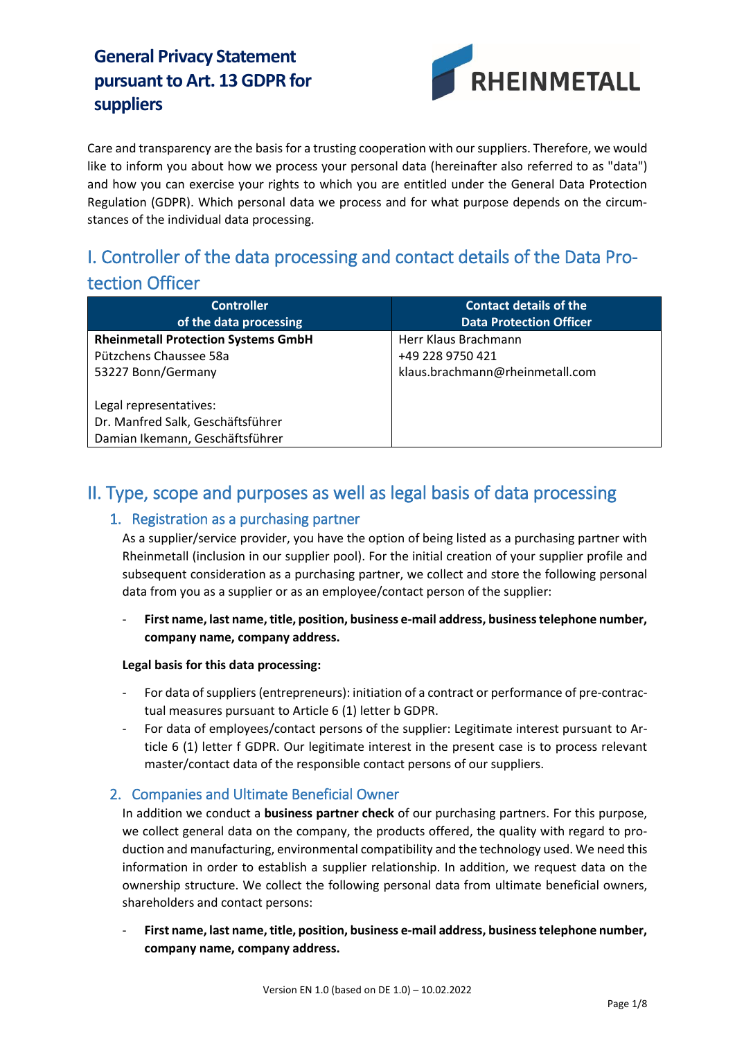

Care and transparency are the basis for a trusting cooperation with our suppliers. Therefore, we would like to inform you about how we process your personal data (hereinafter also referred to as "data") and how you can exercise your rights to which you are entitled under the General Data Protection Regulation (GDPR). Which personal data we process and for what purpose depends on the circumstances of the individual data processing.

# I. Controller of the data processing and contact details of the Data Protection Officer

| <b>Controller</b><br>of the data processing | <b>Contact details of the</b><br><b>Data Protection Officer</b> |
|---------------------------------------------|-----------------------------------------------------------------|
|                                             |                                                                 |
| <b>Rheinmetall Protection Systems GmbH</b>  | Herr Klaus Brachmann                                            |
| Pützchens Chaussee 58a                      | +49 228 9750 421                                                |
| 53227 Bonn/Germany                          | klaus.brachmann@rheinmetall.com                                 |
|                                             |                                                                 |
| Legal representatives:                      |                                                                 |
| Dr. Manfred Salk, Geschäftsführer           |                                                                 |
| Damian Ikemann, Geschäftsführer             |                                                                 |

## II. Type, scope and purposes as well as legal basis of data processing

#### 1. Registration as a purchasing partner

As a supplier/service provider, you have the option of being listed as a purchasing partner with Rheinmetall (inclusion in our supplier pool). For the initial creation of your supplier profile and subsequent consideration as a purchasing partner, we collect and store the following personal data from you as a supplier or as an employee/contact person of the supplier:

#### - **First name, last name, title, position, business e-mail address, business telephone number, company name, company address.**

#### **Legal basis for this data processing:**

- For data of suppliers (entrepreneurs): initiation of a contract or performance of pre-contractual measures pursuant to Article 6 (1) letter b GDPR.
- For data of employees/contact persons of the supplier: Legitimate interest pursuant to Article 6 (1) letter f GDPR. Our legitimate interest in the present case is to process relevant master/contact data of the responsible contact persons of our suppliers.

#### 2. Companies and Ultimate Beneficial Owner

In addition we conduct a **business partner check** of our purchasing partners. For this purpose, we collect general data on the company, the products offered, the quality with regard to production and manufacturing, environmental compatibility and the technology used. We need this information in order to establish a supplier relationship. In addition, we request data on the ownership structure. We collect the following personal data from ultimate beneficial owners, shareholders and contact persons:

- **First name, last name, title, position, business e-mail address, business telephone number, company name, company address.**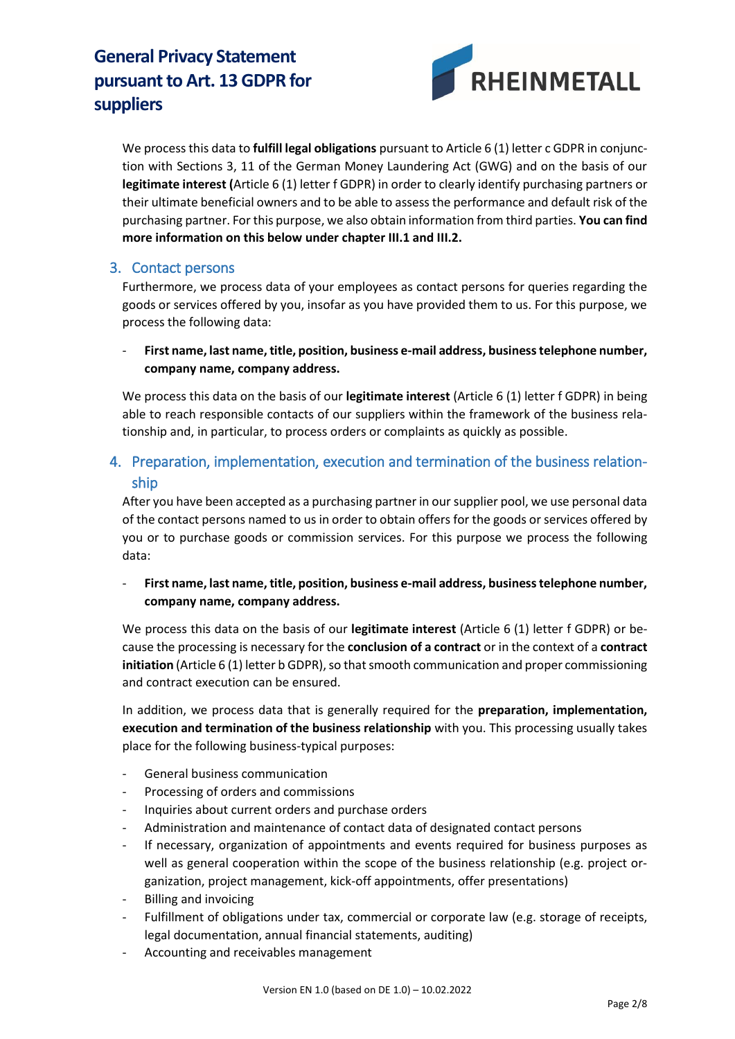

We process this data to **fulfill legal obligations** pursuant to Article 6 (1) letter c GDPR in conjunction with Sections 3, 11 of the German Money Laundering Act (GWG) and on the basis of our **legitimate interest (**Article 6 (1) letter f GDPR) in order to clearly identify purchasing partners or their ultimate beneficial owners and to be able to assess the performance and default risk of the purchasing partner. For this purpose, we also obtain information from third parties. **You can find more information on this below under chapter III.1 and III.2.**

### 3. Contact persons

Furthermore, we process data of your employees as contact persons for queries regarding the goods or services offered by you, insofar as you have provided them to us. For this purpose, we process the following data:

- **First name, last name, title, position, business e-mail address, business telephone number, company name, company address.** 

We process this data on the basis of our **legitimate interest** (Article 6 (1) letter f GDPR) in being able to reach responsible contacts of our suppliers within the framework of the business relationship and, in particular, to process orders or complaints as quickly as possible.

## 4. Preparation, implementation, execution and termination of the business relationship

After you have been accepted as a purchasing partner in our supplier pool, we use personal data of the contact persons named to us in order to obtain offers for the goods or services offered by you or to purchase goods or commission services. For this purpose we process the following data:

- **First name, last name, title, position, business e-mail address, business telephone number, company name, company address.** 

We process this data on the basis of our **legitimate interest** (Article 6 (1) letter f GDPR) or because the processing is necessary for the **conclusion of a contract** or in the context of a **contract initiation** (Article 6 (1) letter b GDPR), so that smooth communication and proper commissioning and contract execution can be ensured.

In addition, we process data that is generally required for the **preparation, implementation, execution and termination of the business relationship** with you. This processing usually takes place for the following business-typical purposes:

- General business communication
- Processing of orders and commissions
- Inquiries about current orders and purchase orders
- Administration and maintenance of contact data of designated contact persons
- If necessary, organization of appointments and events required for business purposes as well as general cooperation within the scope of the business relationship (e.g. project organization, project management, kick-off appointments, offer presentations)
- Billing and invoicing
- Fulfillment of obligations under tax, commercial or corporate law (e.g. storage of receipts, legal documentation, annual financial statements, auditing)
- Accounting and receivables management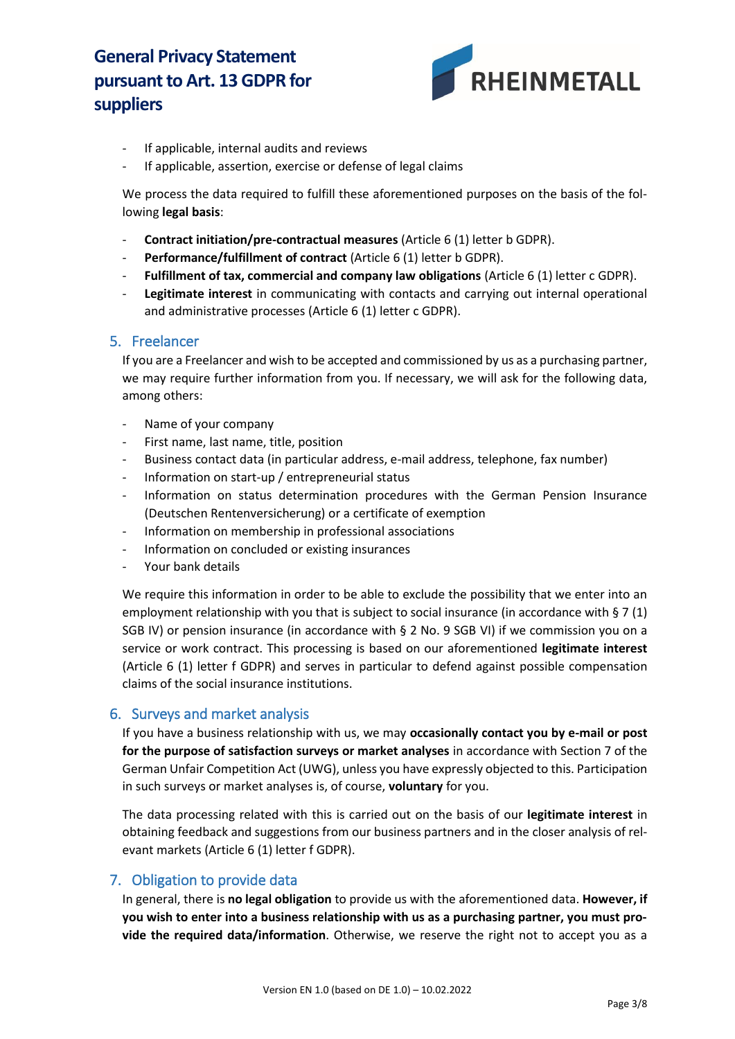

- If applicable, internal audits and reviews
- If applicable, assertion, exercise or defense of legal claims

We process the data required to fulfill these aforementioned purposes on the basis of the following **legal basis**:

- **Contract initiation/pre-contractual measures** (Article 6 (1) letter b GDPR).
- **Performance/fulfillment of contract** (Article 6 (1) letter b GDPR).
- Fulfillment of tax, commercial and company law obligations (Article 6 (1) letter c GDPR).
- Legitimate interest in communicating with contacts and carrying out internal operational and administrative processes (Article 6 (1) letter c GDPR).

#### 5. Freelancer

If you are a Freelancer and wish to be accepted and commissioned by us as a purchasing partner, we may require further information from you. If necessary, we will ask for the following data, among others:

- Name of your company
- First name, last name, title, position
- Business contact data (in particular address, e-mail address, telephone, fax number)
- Information on start-up / entrepreneurial status
- Information on status determination procedures with the German Pension Insurance (Deutschen Rentenversicherung) or a certificate of exemption
- Information on membership in professional associations
- Information on concluded or existing insurances
- Your bank details

We require this information in order to be able to exclude the possibility that we enter into an employment relationship with you that is subject to social insurance (in accordance with § 7 (1) SGB IV) or pension insurance (in accordance with § 2 No. 9 SGB VI) if we commission you on a service or work contract. This processing is based on our aforementioned **legitimate interest** (Article 6 (1) letter f GDPR) and serves in particular to defend against possible compensation claims of the social insurance institutions.

#### 6. Surveys and market analysis

If you have a business relationship with us, we may **occasionally contact you by e-mail or post for the purpose of satisfaction surveys or market analyses** in accordance with Section 7 of the German Unfair Competition Act (UWG), unless you have expressly objected to this. Participation in such surveys or market analyses is, of course, **voluntary** for you.

The data processing related with this is carried out on the basis of our **legitimate interest** in obtaining feedback and suggestions from our business partners and in the closer analysis of relevant markets (Article 6 (1) letter f GDPR).

#### 7. Obligation to provide data

In general, there is **no legal obligation** to provide us with the aforementioned data. **However, if you wish to enter into a business relationship with us as a purchasing partner, you must provide the required data/information**. Otherwise, we reserve the right not to accept you as a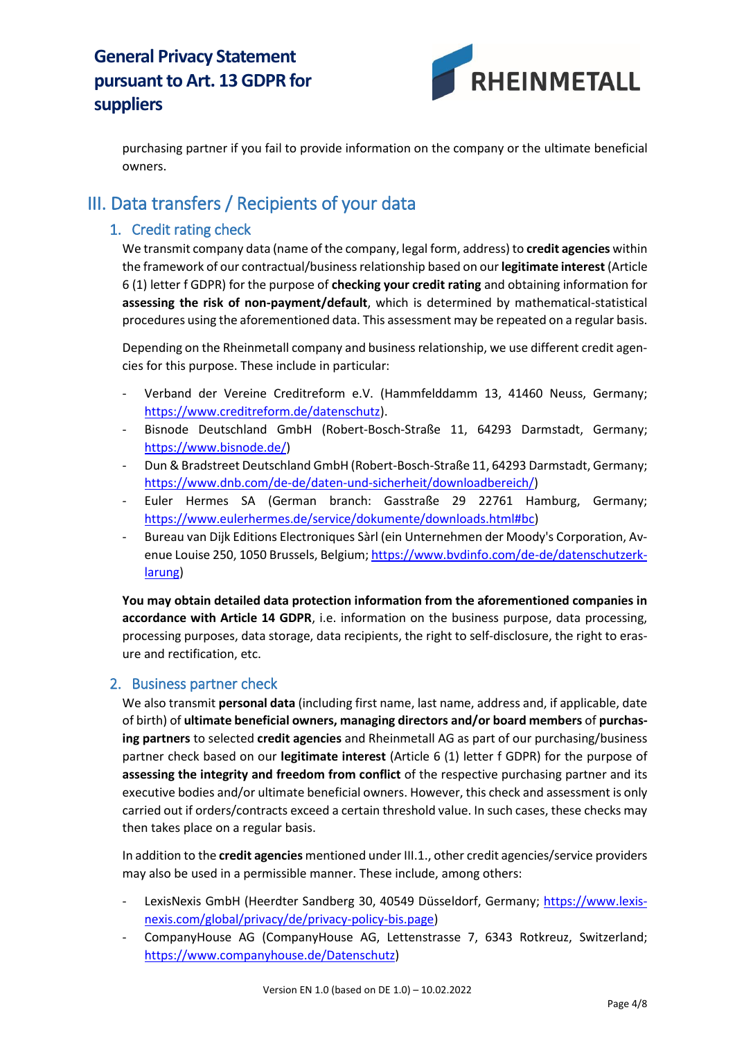

purchasing partner if you fail to provide information on the company or the ultimate beneficial owners.

## III. Data transfers / Recipients of your data

## 1. Credit rating check

We transmit company data (name of the company, legal form, address) to **credit agencies** within the framework of our contractual/business relationship based on our **legitimate interest** (Article 6 (1) letter f GDPR) for the purpose of **checking your credit rating** and obtaining information for **assessing the risk of non-payment/default**, which is determined by mathematical-statistical procedures using the aforementioned data. This assessment may be repeated on a regular basis.

Depending on the Rheinmetall company and business relationship, we use different credit agencies for this purpose. These include in particular:

- Verband der Vereine Creditreform e.V. (Hammfelddamm 13, 41460 Neuss, Germany; [https://www.creditreform.de/datenschutz\)](https://www.creditreform.de/datenschutz).
- Bisnode Deutschland GmbH (Robert-Bosch-Straße 11, 64293 Darmstadt, Germany; [https://www.bisnode.de/\)](https://www.bisnode.de/)
- Dun & Bradstreet Deutschland GmbH (Robert-Bosch-Straße 11, 64293 Darmstadt, Germany; [https://www.dnb.com/de-de/daten-und-sicherheit/downloadbereich/\)](https://www.dnb.com/de-de/daten-und-sicherheit/downloadbereich/)
- Euler Hermes SA (German branch: Gasstraße 29 22761 Hamburg, Germany; [https://www.eulerhermes.de/service/dokumente/downloads.html#bc\)](https://www.eulerhermes.de/service/dokumente/downloads.html#bc)
- Bureau van Dijk Editions Electroniques Sàrl (ein Unternehmen der Moody's Corporation, Avenue Louise 250, 1050 Brussels, Belgium; [https://www.bvdinfo.com/de-de/datenschutzerk](https://www.bvdinfo.com/de-de/datenschutzerklarung)[larung\)](https://www.bvdinfo.com/de-de/datenschutzerklarung)

**You may obtain detailed data protection information from the aforementioned companies in accordance with Article 14 GDPR**, i.e. information on the business purpose, data processing, processing purposes, data storage, data recipients, the right to self-disclosure, the right to erasure and rectification, etc.

## 2. Business partner check

We also transmit **personal data** (including first name, last name, address and, if applicable, date of birth) of **ultimate beneficial owners, managing directors and/or board members** of **purchasing partners** to selected **credit agencies** and Rheinmetall AG as part of our purchasing/business partner check based on our **legitimate interest** (Article 6 (1) letter f GDPR) for the purpose of **assessing the integrity and freedom from conflict** of the respective purchasing partner and its executive bodies and/or ultimate beneficial owners. However, this check and assessment is only carried out if orders/contracts exceed a certain threshold value. In such cases, these checks may then takes place on a regular basis.

In addition to the **credit agencies** mentioned under III.1., other credit agencies/service providers may also be used in a permissible manner. These include, among others:

- LexisNexis GmbH (Heerdter Sandberg 30, 40549 Düsseldorf, Germany; [https://www.lexis](https://www.lexisnexis.com/global/privacy/de/privacy-policy-bis.page)[nexis.com/global/privacy/de/privacy-policy-bis.page\)](https://www.lexisnexis.com/global/privacy/de/privacy-policy-bis.page)
- CompanyHouse AG (CompanyHouse AG, Lettenstrasse 7, 6343 Rotkreuz, Switzerland; [https://www.companyhouse.de/Datenschutz\)](https://www.companyhouse.de/Datenschutz)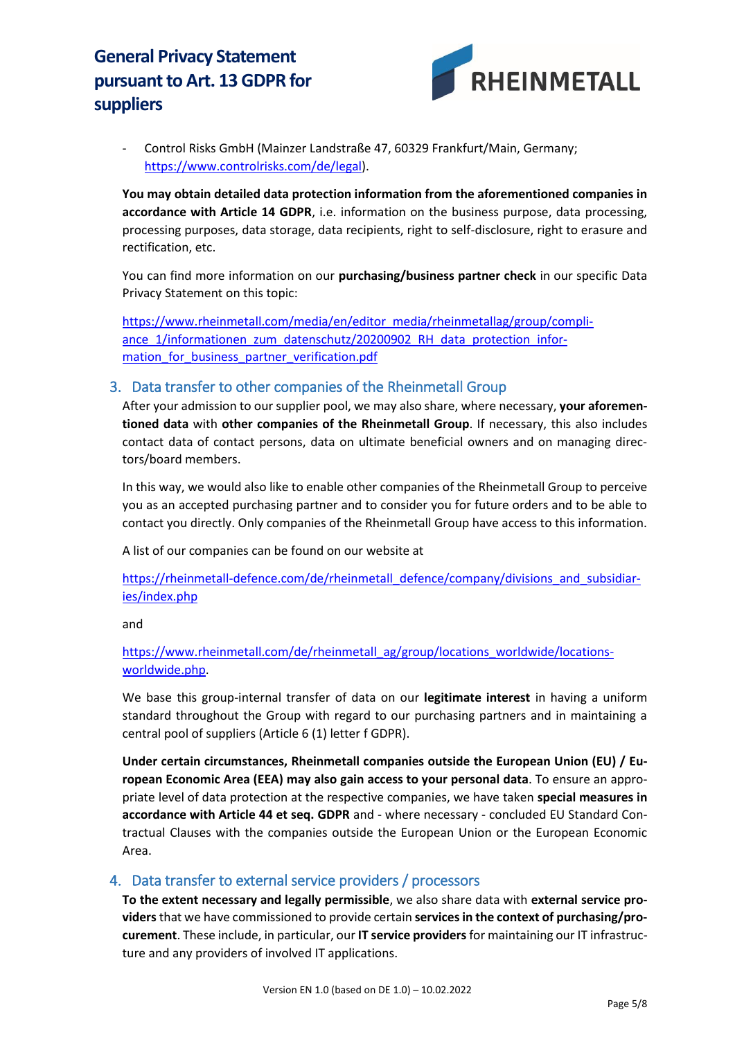

- Control Risks GmbH (Mainzer Landstraße 47, 60329 Frankfurt/Main, Germany; [https://www.controlrisks.com/de/legal\)](https://www.controlrisks.com/de/legal).

**You may obtain detailed data protection information from the aforementioned companies in accordance with Article 14 GDPR**, i.e. information on the business purpose, data processing, processing purposes, data storage, data recipients, right to self-disclosure, right to erasure and rectification, etc.

You can find more information on our **purchasing/business partner check** in our specific Data Privacy Statement on this topic:

[https://www.rheinmetall.com/media/en/editor\\_media/rheinmetallag/group/compli](https://www.rheinmetall.com/media/en/editor_media/rheinmetallag/group/compliance_1/informationen_zum_datenschutz/20200902_RH_data_protection_information_for_business_partner_verification.pdf)ance 1/informationen\_zum\_datenschutz/20200902\_RH\_data\_protection\_information for business partner verification.pdf

#### 3. Data transfer to other companies of the Rheinmetall Group

After your admission to our supplier pool, we may also share, where necessary, **your aforementioned data** with **other companies of the Rheinmetall Group**. If necessary, this also includes contact data of contact persons, data on ultimate beneficial owners and on managing directors/board members.

In this way, we would also like to enable other companies of the Rheinmetall Group to perceive you as an accepted purchasing partner and to consider you for future orders and to be able to contact you directly. Only companies of the Rheinmetall Group have access to this information.

A list of our companies can be found on our website at

[https://rheinmetall-defence.com/de/rheinmetall\\_defence/company/divisions\\_and\\_subsidiar](https://rheinmetall-defence.com/de/rheinmetall_defence/company/divisions_and_subsidiaries/index.php)[ies/index.php](https://rheinmetall-defence.com/de/rheinmetall_defence/company/divisions_and_subsidiaries/index.php)

and

[https://www.rheinmetall.com/de/rheinmetall\\_ag/group/locations\\_worldwide/locations](https://www.rheinmetall.com/de/rheinmetall_ag/group/locations_worldwide/locations-worldwide.php)[worldwide.php.](https://www.rheinmetall.com/de/rheinmetall_ag/group/locations_worldwide/locations-worldwide.php)

We base this group-internal transfer of data on our **legitimate interest** in having a uniform standard throughout the Group with regard to our purchasing partners and in maintaining a central pool of suppliers (Article 6 (1) letter f GDPR).

**Under certain circumstances, Rheinmetall companies outside the European Union (EU) / European Economic Area (EEA) may also gain access to your personal data**. To ensure an appropriate level of data protection at the respective companies, we have taken **special measures in accordance with Article 44 et seq. GDPR** and - where necessary - concluded EU Standard Contractual Clauses with the companies outside the European Union or the European Economic Area.

#### 4. Data transfer to external service providers / processors

**To the extent necessary and legally permissible**, we also share data with **external service providers** that we have commissioned to provide certain **services in the context of purchasing/procurement**. These include, in particular, our **IT service providers** for maintaining our IT infrastructure and any providers of involved IT applications.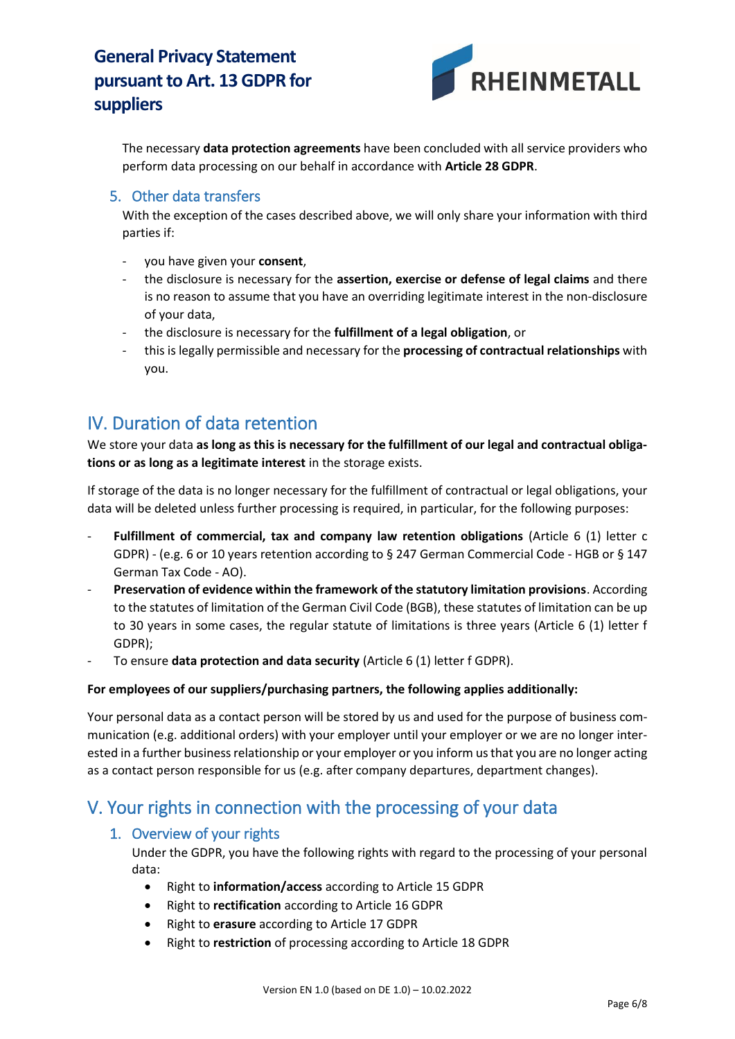

The necessary **data protection agreements** have been concluded with all service providers who perform data processing on our behalf in accordance with **Article 28 GDPR**.

#### 5. Other data transfers

With the exception of the cases described above, we will only share your information with third parties if:

- you have given your **consent**,
- the disclosure is necessary for the **assertion, exercise or defense of legal claims** and there is no reason to assume that you have an overriding legitimate interest in the non-disclosure of your data,
- the disclosure is necessary for the **fulfillment of a legal obligation**, or
- this is legally permissible and necessary for the **processing of contractual relationships** with you.

## IV. Duration of data retention

We store your data **as long as this is necessary for the fulfillment of our legal and contractual obligations or as long as a legitimate interest** in the storage exists.

If storage of the data is no longer necessary for the fulfillment of contractual or legal obligations, your data will be deleted unless further processing is required, in particular, for the following purposes:

- **Fulfillment of commercial, tax and company law retention obligations** (Article 6 (1) letter c GDPR) - (e.g. 6 or 10 years retention according to § 247 German Commercial Code - HGB or § 147 German Tax Code - AO).
- **Preservation of evidence within the framework of the statutory limitation provisions**. According to the statutes of limitation of the German Civil Code (BGB), these statutes of limitation can be up to 30 years in some cases, the regular statute of limitations is three years (Article 6 (1) letter f GDPR);
- To ensure **data protection and data security** (Article 6 (1) letter f GDPR).

#### **For employees of our suppliers/purchasing partners, the following applies additionally:**

Your personal data as a contact person will be stored by us and used for the purpose of business communication (e.g. additional orders) with your employer until your employer or we are no longer interested in a further business relationship or your employer or you inform us that you are no longer acting as a contact person responsible for us (e.g. after company departures, department changes).

## V. Your rights in connection with the processing of your data

#### 1. Overview of your rights

Under the GDPR, you have the following rights with regard to the processing of your personal data:

- Right to **information/access** according to Article 15 GDPR
- Right to **rectification** according to Article 16 GDPR
- Right to **erasure** according to Article 17 GDPR
- Right to **restriction** of processing according to Article 18 GDPR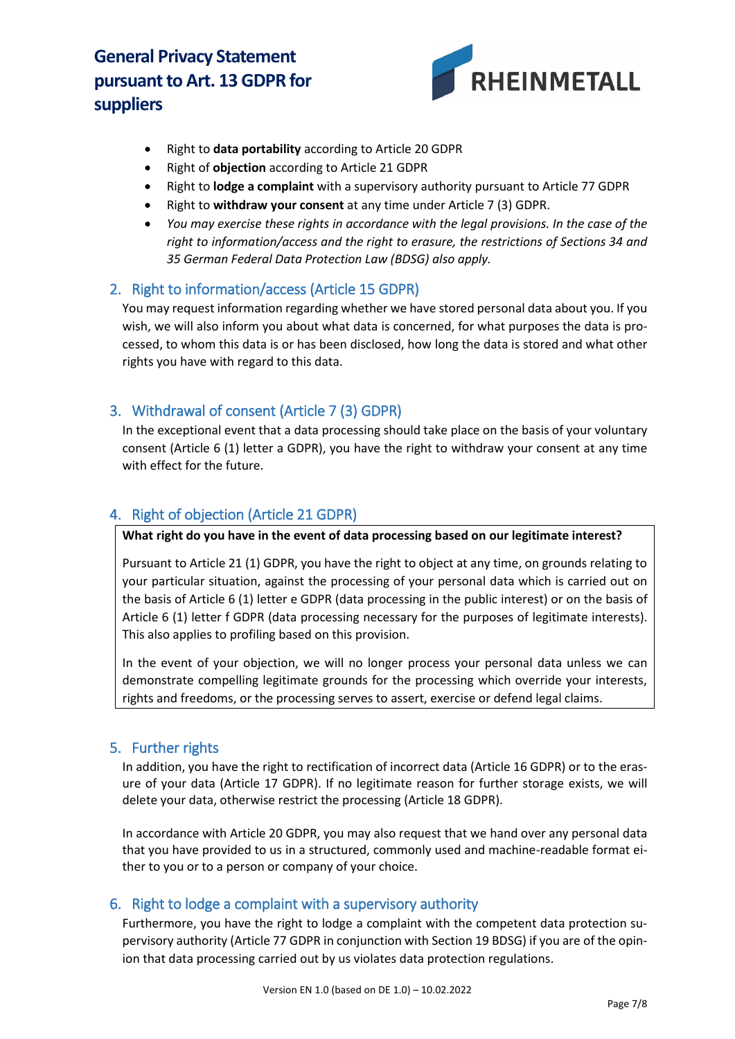

- Right to **data portability** according to Article 20 GDPR
- Right of **objection** according to Article 21 GDPR
- Right to **lodge a complaint** with a supervisory authority pursuant to Article 77 GDPR
- Right to **withdraw your consent** at any time under Article 7 (3) GDPR.
- *You may exercise these rights in accordance with the legal provisions. In the case of the right to information/access and the right to erasure, the restrictions of Sections 34 and 35 German Federal Data Protection Law (BDSG) also apply.*

### 2. Right to information/access (Article 15 GDPR)

You may request information regarding whether we have stored personal data about you. If you wish, we will also inform you about what data is concerned, for what purposes the data is processed, to whom this data is or has been disclosed, how long the data is stored and what other rights you have with regard to this data.

## 3. Withdrawal of consent (Article 7 (3) GDPR)

In the exceptional event that a data processing should take place on the basis of your voluntary consent (Article 6 (1) letter a GDPR), you have the right to withdraw your consent at any time with effect for the future.

## 4. Right of objection (Article 21 GDPR)

**What right do you have in the event of data processing based on our legitimate interest?**

Pursuant to Article 21 (1) GDPR, you have the right to object at any time, on grounds relating to your particular situation, against the processing of your personal data which is carried out on the basis of Article 6 (1) letter e GDPR (data processing in the public interest) or on the basis of Article 6 (1) letter f GDPR (data processing necessary for the purposes of legitimate interests). This also applies to profiling based on this provision.

In the event of your objection, we will no longer process your personal data unless we can demonstrate compelling legitimate grounds for the processing which override your interests, rights and freedoms, or the processing serves to assert, exercise or defend legal claims.

#### 5. Further rights

In addition, you have the right to rectification of incorrect data (Article 16 GDPR) or to the erasure of your data (Article 17 GDPR). If no legitimate reason for further storage exists, we will delete your data, otherwise restrict the processing (Article 18 GDPR).

In accordance with Article 20 GDPR, you may also request that we hand over any personal data that you have provided to us in a structured, commonly used and machine-readable format either to you or to a person or company of your choice.

#### 6. Right to lodge a complaint with a supervisory authority

Furthermore, you have the right to lodge a complaint with the competent data protection supervisory authority (Article 77 GDPR in conjunction with Section 19 BDSG) if you are of the opinion that data processing carried out by us violates data protection regulations.